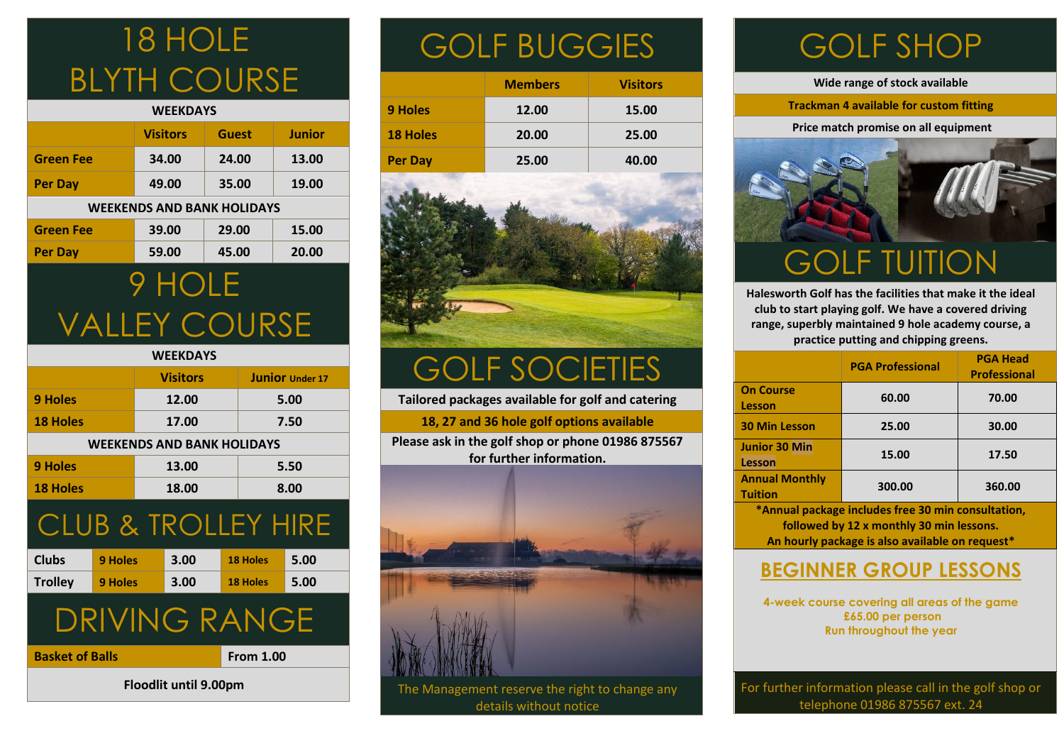## 18 HOLE BLYTH COURSE

| <b>WEEKDAYS</b>                   |                 |              |               |  |
|-----------------------------------|-----------------|--------------|---------------|--|
|                                   | <b>Visitors</b> | <b>Guest</b> | <b>Junior</b> |  |
| <b>Green Fee</b>                  | 34.00           | 24.00        | 13.00         |  |
| <b>Per Day</b>                    | 49.00           | 35.00        | 19.00         |  |
| <b>WEEKENDS AND BANK HOLIDAYS</b> |                 |              |               |  |
| <b>Green Fee</b>                  | 39.00           | 29.00        | 15.00         |  |
| Per Day                           | 59.00           | 45.00        | 20.00         |  |
|                                   |                 |              |               |  |

### 9 HOLE VALLEY COURSE

#### **WEEKDAYS Visitors Junior** *Under 17* **9 Holes 12.00 5.00 18 Holes 17.00 7.50 WEEKENDS AND BANK HOLIDAYS 9 Holes 13.00 5.50 18 Holes 18.00 8.00** CLUB & TROLLEY HIRE **Clubs 9 Holes 3.00 18 Holes 5.00 Trolley 9 Holes 3.00 18 Holes 5.00** DRIVING RANGE **Basket of Balls From 1.00**

**Floodlit until 9.00pm** 

## GOLF BUGGIES

|                 | <b>Members</b> | <b>Visitors</b> |
|-----------------|----------------|-----------------|
| 9 Holes         | 12.00          | 15.00           |
| <b>18 Holes</b> | 20.00          | 25.00           |
| Per Day         | 25.00          | 40.00           |



## GOLF SOCIETIES

**Tailored packages available for golf and catering**

**18, 27 and 36 hole golf options available**

**Please ask in the golf shop or phone 01986 875567 for further information.**



The Management reserve the right to change any details without notice

## GOLF SHOP

**Wide range of stock available**

**Trackman 4 available for custom fitting**

 **Price match promise on all equipment**



**Halesworth Golf has the facilities that make it the ideal club to start playing golf. We have a covered driving range, superbly maintained 9 hole academy course, a practice putting and chipping greens.**

|                                                                                                | <b>PGA Professional</b> | <b>PGA Head</b><br><b>Professional</b> |  |  |
|------------------------------------------------------------------------------------------------|-------------------------|----------------------------------------|--|--|
| <b>On Course</b><br>Lesson                                                                     | 60.00                   | 70.00                                  |  |  |
| <b>30 Min Lesson</b>                                                                           | 25.00                   | 30.00                                  |  |  |
| Junior 30 Min<br>Lesson                                                                        | 15.00                   | 17.50                                  |  |  |
| <b>Annual Monthly</b><br><b>Tuition</b>                                                        | 300.00                  | 360.00                                 |  |  |
| *Annual package includes free 30 min consultation,<br>followed by 12 x monthly 30 min lessons. |                         |                                        |  |  |

**An hourly package is also available on request\***

#### **BEGINNER GROUP LESSONS**

**4-week course covering all areas of the game £65.00 per person Run throughout the year**

For further information please call in the golf shop or telephone 01986 875567 ext. 24